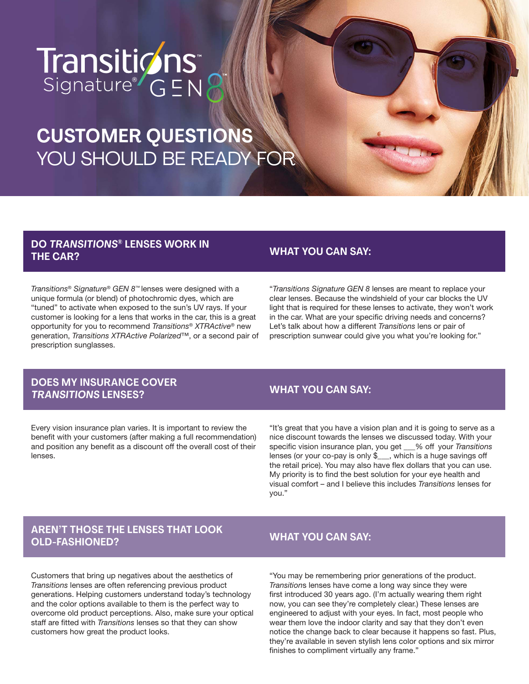# Transiticins\*

# **CUSTOMER QUESTIONS**  YOU SHOULD BE READY FOR

# **DO TRANSITIONS® LENSES WORK IN THE CAR?**

*Transitions® Signature® GEN 8™* lenses were designed with a unique formula (or blend) of photochromic dyes, which are "tuned" to activate when exposed to the sun's UV rays. If your customer is looking for a lens that works in the car, this is a great opportunity for you to recommend *Transitions® XTRActive®* new generation, *Transitions XTRActive Polarized™*, or a second pair of prescription sunglasses.

# **WHAT YOU CAN SAY:**

"*Transitions Signature GEN 8* lenses are meant to replace your clear lenses. Because the windshield of your car blocks the UV light that is required for these lenses to activate, they won't work in the car. What are your specific driving needs and concerns? Let's talk about how a different *Transitions* lens or pair of prescription sunwear could give you what you're looking for."

# **DOES MY INSURANCE COVER TRANSITIONS LENSES?**

Every vision insurance plan varies. It is important to review the benefit with your customers (after making a full recommendation) and position any benefit as a discount off the overall cost of their lenses.

#### **WHAT YOU CAN SAY:**

"It's great that you have a vision plan and it is going to serve as a nice discount towards the lenses we discussed today. With your specific vision insurance plan, you get \_\_\_% off your *Transitions* lenses (or your co-pay is only \$\_\_\_, which is a huge savings off the retail price). You may also have flex dollars that you can use. My priority is to find the best solution for your eye health and visual comfort – and I believe this includes *Transitions* lenses for you."

# **AREN'T THOSE THE LENSES THAT LOOK OLD-FASHIONED?**

# **WHAT YOU CAN SAY:**

Customers that bring up negatives about the aesthetics of *Transitions* lenses are often referencing previous product generations. Helping customers understand today's technology and the color options available to them is the perfect way to overcome old product perceptions. Also, make sure your optical staff are fitted with *Transitions* lenses so that they can show customers how great the product looks.

"You may be remembering prior generations of the product. *Transition*s lenses have come a long way since they were first introduced 30 years ago. (I'm actually wearing them right now, you can see they're completely clear.) These lenses are engineered to adjust with your eyes. In fact, most people who wear them love the indoor clarity and say that they don't even notice the change back to clear because it happens so fast. Plus, they're available in seven stylish lens color options and six mirror finishes to compliment virtually any frame."